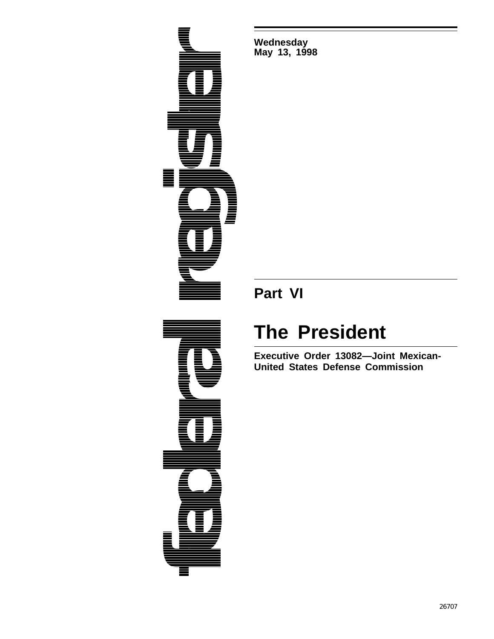

**Wednesday May 13, 1998**

## **Part VI**

## **The President**

**Executive Order 13082—Joint Mexican-United States Defense Commission**